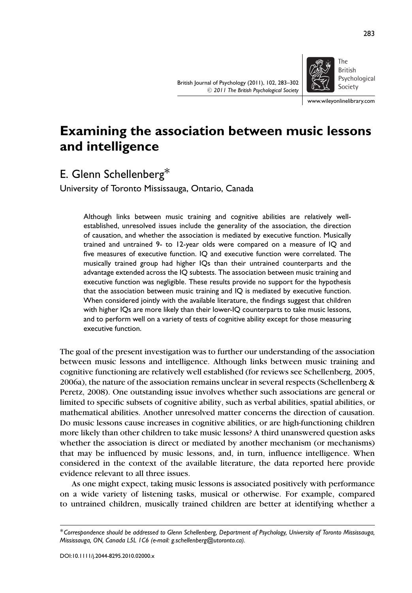British Journal of Psychology (2011), 102, 283–302 -<sup>C</sup> *2011 The British Psychological Society*



**British** Psychological Society

www.wileyonlinelibrary.com

The

Society

# **Examining the association between music lessons and intelligence**

E. Glenn Schellenberg∗

University of Toronto Mississauga, Ontario, Canada

Although links between music training and cognitive abilities are relatively wellestablished, unresolved issues include the generality of the association, the direction of causation, and whether the association is mediated by executive function. Musically trained and untrained 9- to 12-year olds were compared on a measure of IQ and five measures of executive function. IQ and executive function were correlated. The musically trained group had higher IQs than their untrained counterparts and the advantage extended across the IQ subtests. The association between music training and executive function was negligible. These results provide no support for the hypothesis that the association between music training and IQ is mediated by executive function. When considered jointly with the available literature, the findings suggest that children with higher IQs are more likely than their lower-IQ counterparts to take music lessons, and to perform well on a variety of tests of cognitive ability except for those measuring executive function.

The goal of the present investigation was to further our understanding of the association between music lessons and intelligence. Although links between music training and cognitive functioning are relatively well established (for reviews see Schellenberg, 2005, 2006a), the nature of the association remains unclear in several respects (Schellenberg & Peretz, 2008). One outstanding issue involves whether such associations are general or limited to specific subsets of cognitive ability, such as verbal abilities, spatial abilities, or mathematical abilities. Another unresolved matter concerns the direction of causation. Do music lessons cause increases in cognitive abilities, or are high-functioning children more likely than other children to take music lessons? A third unanswered question asks whether the association is direct or mediated by another mechanism (or mechanisms) that may be influenced by music lessons, and, in turn, influence intelligence. When considered in the context of the available literature, the data reported here provide evidence relevant to all three issues.

As one might expect, taking music lessons is associated positively with performance on a wide variety of listening tasks, musical or otherwise. For example, compared to untrained children, musically trained children are better at identifying whether a

<sup>∗</sup>*Correspondence should be addressed to Glenn Schellenberg, Department of Psychology, University of Toronto Mississauga, Mississauga, ON, Canada L5L 1C6 (e-mail: g.schellenberg@utoronto.ca).*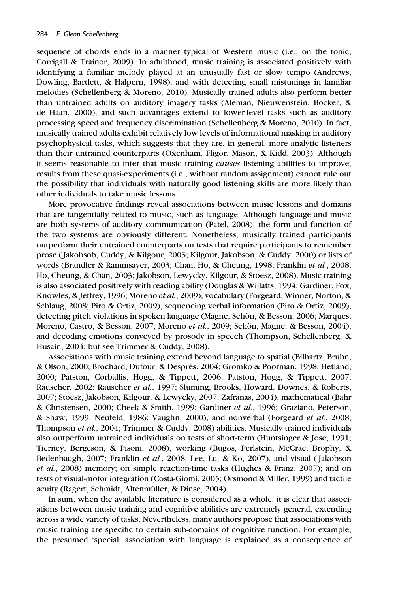sequence of chords ends in a manner typical of Western music (i.e., on the tonic; Corrigall & Trainor, 2009). In adulthood, music training is associated positively with identifying a familiar melody played at an unusually fast or slow tempo (Andrews, Dowling, Bartlett, & Halpern, 1998), and with detecting small mistunings in familiar melodies (Schellenberg & Moreno, 2010). Musically trained adults also perform better than untrained adults on auditory imagery tasks (Aleman, Nieuwenstein, Böcker, & de Haan, 2000), and such advantages extend to lower-level tasks such as auditory processing speed and frequency discrimination (Schellenberg & Moreno, 2010). In fact, musically trained adults exhibit relatively low levels of informational masking in auditory psychophysical tasks, which suggests that they are, in general, more analytic listeners than their untrained counterparts (Oxenham, Fligor, Mason, & Kidd, 2003). Although it seems reasonable to infer that music training *causes* listening abilities to improve, results from these quasi-experiments (i.e., without random assignment) cannot rule out the possibility that individuals with naturally good listening skills are more likely than other individuals to take music lessons.

More provocative findings reveal associations between music lessons and domains that are tangentially related to music, such as language. Although language and music are both systems of auditory communication (Patel, 2008), the form and function of the two systems are obviously different. Nonetheless, musically trained participants outperform their untrained counterparts on tests that require participants to remember prose ( Jakobsob, Cuddy, & Kilgour, 2003; Kilgour, Jakobson, & Cuddy, 2000) or lists of words (Brandler & Rammsayer, 2003; Chan, Ho, & Cheung, 1998; Franklin *et al.*, 2008; Ho, Cheung, & Chan, 2003; Jakobson, Lewycky, Kilgour, & Stoesz, 2008). Music training is also associated positively with reading ability (Douglas & Willatts, 1994; Gardiner, Fox, Knowles, & Jeffrey, 1996; Moreno *et al.*, 2009), vocabulary (Forgeard, Winner, Norton, & Schlaug, 2008; Piro & Ortiz, 2009), sequencing verbal information (Piro & Ortiz, 2009), detecting pitch violations in spoken language (Magne, Schön, & Besson, 2006; Marques, Moreno, Castro, & Besson, 2007; Moreno *et al.*, 2009; Schön, Magne, & Besson, 2004), and decoding emotions conveyed by prosody in speech (Thompson, Schellenberg, & Husain, 2004; but see Trimmer & Cuddy, 2008).

Associations with music training extend beyond language to spatial (Bilhartz, Bruhn, & Olson, 2000; Brochard, Dufour, & Despres, 2004; Gromko & Poorman, 1998; Hetland, ´ 2000; Patston, Corballis, Hogg, & Tippett, 2006; Patston, Hogg, & Tippett, 2007; Rauscher, 2002; Rauscher *et al.*, 1997; Sluming, Brooks, Howard, Downes, & Roberts, 2007; Stoesz, Jakobson, Kilgour, & Lewycky, 2007; Zafranas, 2004), mathematical (Bahr & Christensen, 2000; Cheek & Smith, 1999; Gardiner *et al.*, 1996; Graziano, Peterson, & Shaw, 1999; Neufeld, 1986; Vaughn, 2000), and nonverbal (Forgeard *et al.*, 2008; Thompson *et al.*, 2004; Trimmer & Cuddy, 2008) abilities. Musically trained individuals also outperform untrained individuals on tests of short-term (Huntsinger & Jose, 1991; Tierney, Bergeson, & Pisoni, 2008), working (Bugos, Perlstein, McCrae, Brophy, & Bedenbaugh, 2007; Franklin *et al.*, 2008; Lee, Lu, & Ko, 2007), and visual ( Jakobson *et al.*, 2008) memory; on simple reaction-time tasks (Hughes & Franz, 2007); and on tests of visual-motor integration (Costa-Giomi, 2005; Orsmond & Miller, 1999) and tactile acuity (Ragert, Schmidt, Altenmüller, & Dinse, 2004).

In sum, when the available literature is considered as a whole, it is clear that associations between music training and cognitive abilities are extremely general, extending across a wide variety of tasks. Nevertheless, many authors propose that associations with music training are specific to certain sub-domains of cognitive function. For example, the presumed 'special' association with language is explained as a consequence of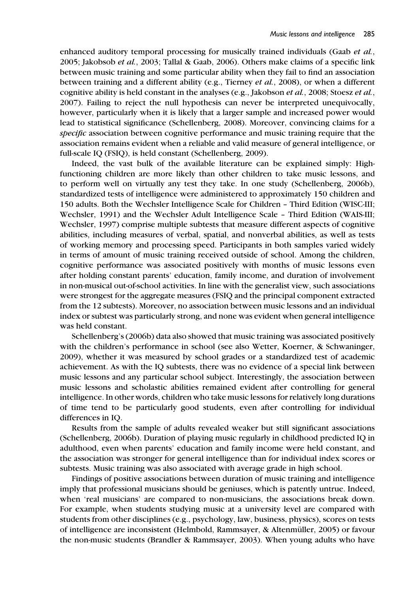enhanced auditory temporal processing for musically trained individuals (Gaab *et al.*, 2005; Jakobsob *et al.*, 2003; Tallal & Gaab, 2006). Others make claims of a specific link between music training and some particular ability when they fail to find an association between training and a different ability (e.g., Tierney *et al.*, 2008), or when a different cognitive ability is held constant in the analyses (e.g., Jakobson *et al.*, 2008; Stoesz *et al.*, 2007). Failing to reject the null hypothesis can never be interpreted unequivocally, however, particularly when it is likely that a larger sample and increased power would lead to statistical significance (Schellenberg, 2008). Moreover, convincing claims for a *specific* association between cognitive performance and music training require that the association remains evident when a reliable and valid measure of general intelligence, or full-scale IQ (FSIQ), is held constant (Schellenberg, 2009).

Indeed, the vast bulk of the available literature can be explained simply: Highfunctioning children are more likely than other children to take music lessons, and to perform well on virtually any test they take. In one study (Schellenberg, 2006b), standardized tests of intelligence were administered to approximately 150 children and 150 adults. Both the Wechsler Intelligence Scale for Children – Third Edition (WISC-III; Wechsler, 1991) and the Wechsler Adult Intelligence Scale – Third Edition (WAIS-III; Wechsler, 1997) comprise multiple subtests that measure different aspects of cognitive abilities, including measures of verbal, spatial, and nonverbal abilities, as well as tests of working memory and processing speed. Participants in both samples varied widely in terms of amount of music training received outside of school. Among the children, cognitive performance was associated positively with months of music lessons even after holding constant parents' education, family income, and duration of involvement in non-musical out-of-school activities. In line with the generalist view, such associations were strongest for the aggregate measures (FSIQ and the principal component extracted from the 12 subtests). Moreover, no association between music lessons and an individual index or subtest was particularly strong, and none was evident when general intelligence was held constant.

Schellenberg's (2006b) data also showed that music training was associated positively with the children's performance in school (see also Wetter, Koerner, & Schwaninger, 2009), whether it was measured by school grades or a standardized test of academic achievement. As with the IQ subtests, there was no evidence of a special link between music lessons and any particular school subject. Interestingly, the association between music lessons and scholastic abilities remained evident after controlling for general intelligence. In other words, children who take music lessons for relatively long durations of time tend to be particularly good students, even after controlling for individual differences in IQ.

Results from the sample of adults revealed weaker but still significant associations (Schellenberg, 2006b). Duration of playing music regularly in childhood predicted IQ in adulthood, even when parents' education and family income were held constant, and the association was stronger for general intelligence than for individual index scores or subtests. Music training was also associated with average grade in high school.

Findings of positive associations between duration of music training and intelligence imply that professional musicians should be geniuses, which is patently untrue. Indeed, when 'real musicians' are compared to non-musicians, the associations break down. For example, when students studying music at a university level are compared with students from other disciplines (e.g., psychology, law, business, physics), scores on tests of intelligence are inconsistent (Helmbold, Rammsayer, & Altenmüller, 2005) or favour the non-music students (Brandler & Rammsayer, 2003). When young adults who have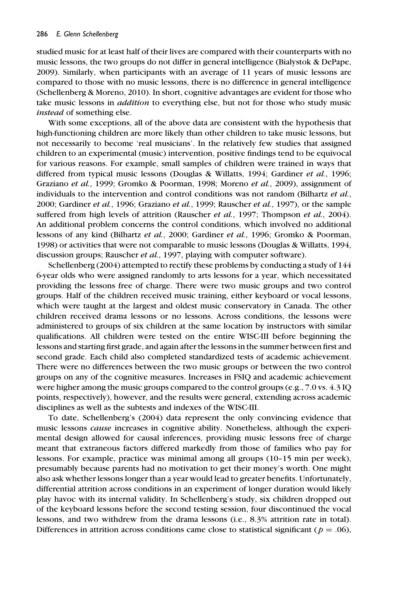studied music for at least half of their lives are compared with their counterparts with no music lessons, the two groups do not differ in general intelligence (Bialystok & DePape, 2009). Similarly, when participants with an average of 11 years of music lessons are compared to those with no music lessons, there is no difference in general intelligence (Schellenberg & Moreno, 2010). In short, cognitive advantages are evident for those who take music lessons in *addition* to everything else, but not for those who study music *instead* of something else.

With some exceptions, all of the above data are consistent with the hypothesis that high-functioning children are more likely than other children to take music lessons, but not necessarily to become 'real musicians'. In the relatively few studies that assigned children to an experimental (music) intervention, positive findings tend to be equivocal for various reasons. For example, small samples of children were trained in ways that differed from typical music lessons (Douglas & Willatts, 1994; Gardiner *et al.*, 1996; Graziano *et al.*, 1999; Gromko & Poorman, 1998; Moreno *et al.*, 2009), assignment of individuals to the intervention and control conditions was not random (Bilhartz *et al.*, 2000; Gardiner *et al.*, 1996; Graziano *et al.*, 1999; Rauscher *et al.*, 1997), or the sample suffered from high levels of attrition (Rauscher *et al.*, 1997; Thompson *et al.*, 2004). An additional problem concerns the control conditions, which involved no additional lessons of any kind (Bilhartz *et al.*, 2000; Gardiner *et al.*, 1996; Gromko & Poorman, 1998) or activities that were not comparable to music lessons (Douglas & Willatts, 1994, discussion groups; Rauscher *et al.*, 1997, playing with computer software).

Schellenberg (2004) attempted to rectify these problems by conducting a study of 144 6-year olds who were assigned randomly to arts lessons for a year, which necessitated providing the lessons free of charge. There were two music groups and two control groups. Half of the children received music training, either keyboard or vocal lessons, which were taught at the largest and oldest music conservatory in Canada. The other children received drama lessons or no lessons. Across conditions, the lessons were administered to groups of six children at the same location by instructors with similar qualifications. All children were tested on the entire WISC-III before beginning the lessons and starting first grade, and again after the lessons in the summer between first and second grade. Each child also completed standardized tests of academic achievement. There were no differences between the two music groups or between the two control groups on any of the cognitive measures. Increases in FSIQ and academic achievement were higher among the music groups compared to the control groups (e.g., 7.0 vs. 4.3 IQ points, respectively), however, and the results were general, extending across academic disciplines as well as the subtests and indexes of the WISC-III.

To date, Schellenberg's (2004) data represent the only convincing evidence that music lessons *cause* increases in cognitive ability. Nonetheless, although the experimental design allowed for causal inferences, providing music lessons free of charge meant that extraneous factors differed markedly from those of families who pay for lessons. For example, practice was minimal among all groups (10–15 min per week), presumably because parents had no motivation to get their money's worth. One might also ask whether lessons longer than a year would lead to greater benefits. Unfortunately, differential attrition across conditions in an experiment of longer duration would likely play havoc with its internal validity. In Schellenberg's study, six children dropped out of the keyboard lessons before the second testing session, four discontinued the vocal lessons, and two withdrew from the drama lessons (i.e., 8.3% attrition rate in total). Differences in attrition across conditions came close to statistical significant ( $p = .06$ ),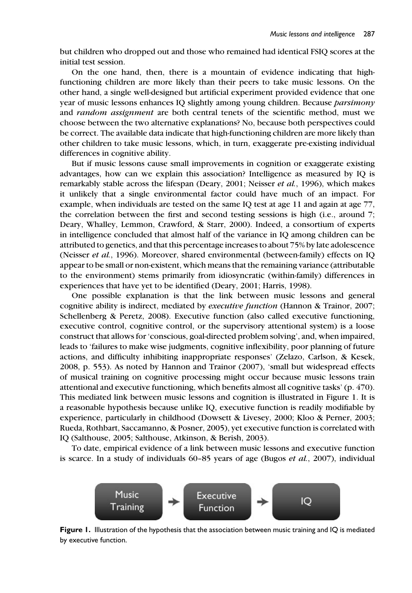but children who dropped out and those who remained had identical FSIQ scores at the initial test session.

On the one hand, then, there is a mountain of evidence indicating that highfunctioning children are more likely than their peers to take music lessons. On the other hand, a single well-designed but artificial experiment provided evidence that one year of music lessons enhances IQ slightly among young children. Because *parsimony* and *random assignment* are both central tenets of the scientific method, must we choose between the two alternative explanations? No, because both perspectives could be correct. The available data indicate that high-functioning children are more likely than other children to take music lessons, which, in turn, exaggerate pre-existing individual differences in cognitive ability.

But if music lessons cause small improvements in cognition or exaggerate existing advantages, how can we explain this association? Intelligence as measured by IQ is remarkably stable across the lifespan (Deary, 2001; Neisser *et al.*, 1996), which makes it unlikely that a single environmental factor could have much of an impact. For example, when individuals are tested on the same IQ test at age 11 and again at age 77, the correlation between the first and second testing sessions is high (i.e., around 7; Deary, Whalley, Lemmon, Crawford, & Starr, 2000). Indeed, a consortium of experts in intelligence concluded that almost half of the variance in IQ among children can be attributed to genetics, and that this percentage increases to about 75% by late adolescence (Neisser *et al.*, 1996). Moreover, shared environmental (between-family) effects on IQ appear to be small or non-existent, which means that the remaining variance (attributable to the environment) stems primarily from idiosyncratic (within-family) differences in experiences that have yet to be identified (Deary, 2001; Harris, 1998).

One possible explanation is that the link between music lessons and general cognitive ability is indirect, mediated by *executive function* (Hannon & Trainor, 2007; Schellenberg & Peretz, 2008). Executive function (also called executive functioning, executive control, cognitive control, or the supervisory attentional system) is a loose construct that allows for 'conscious, goal-directed problem solving', and, when impaired, leads to 'failures to make wise judgments, cognitive inflexibility, poor planning of future actions, and difficulty inhibiting inappropriate responses' (Zelazo, Carlson, & Kesek, 2008, p. 553). As noted by Hannon and Trainor (2007), 'small but widespread effects of musical training on cognitive processing might occur because music lessons train attentional and executive functioning, which benefits almost all cognitive tasks' (p. 470). This mediated link between music lessons and cognition is illustrated in Figure 1. It is a reasonable hypothesis because unlike IQ, executive function is readily modifiable by experience, particularly in childhood (Dowsett & Livesey, 2000; Kloo & Perner, 2003; Rueda, Rothbart, Saccamanno, & Posner, 2005), yet executive function is correlated with IQ (Salthouse, 2005; Salthouse, Atkinson, & Berish, 2003).

To date, empirical evidence of a link between music lessons and executive function is scarce. In a study of individuals 60–85 years of age (Bugos *et al.*, 2007), individual



**Figure 1.** Illustration of the hypothesis that the association between music training and IQ is mediated by executive function.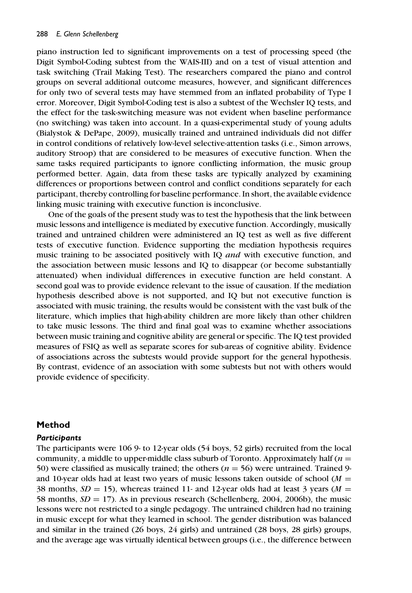piano instruction led to significant improvements on a test of processing speed (the Digit Symbol-Coding subtest from the WAIS-III) and on a test of visual attention and task switching (Trail Making Test). The researchers compared the piano and control groups on several additional outcome measures, however, and significant differences for only two of several tests may have stemmed from an inflated probability of Type I error. Moreover, Digit Symbol-Coding test is also a subtest of the Wechsler IQ tests, and the effect for the task-switching measure was not evident when baseline performance (no switching) was taken into account. In a quasi-experimental study of young adults (Bialystok & DePape, 2009), musically trained and untrained individuals did not differ in control conditions of relatively low-level selective-attention tasks (i.e., Simon arrows, auditory Stroop) that are considered to be measures of executive function. When the same tasks required participants to ignore conflicting information, the music group performed better. Again, data from these tasks are typically analyzed by examining differences or proportions between control and conflict conditions separately for each participant, thereby controlling for baseline performance. In short, the available evidence linking music training with executive function is inconclusive.

One of the goals of the present study was to test the hypothesis that the link between music lessons and intelligence is mediated by executive function. Accordingly, musically trained and untrained children were administered an IQ test as well as five different tests of executive function. Evidence supporting the mediation hypothesis requires music training to be associated positively with IQ *and* with executive function, and the association between music lessons and IQ to disappear (or become substantially attenuated) when individual differences in executive function are held constant. A second goal was to provide evidence relevant to the issue of causation. If the mediation hypothesis described above is not supported, and IQ but not executive function is associated with music training, the results would be consistent with the vast bulk of the literature, which implies that high-ability children are more likely than other children to take music lessons. The third and final goal was to examine whether associations between music training and cognitive ability are general or specific. The IQ test provided measures of FSIQ as well as separate scores for sub-areas of cognitive ability. Evidence of associations across the subtests would provide support for the general hypothesis. By contrast, evidence of an association with some subtests but not with others would provide evidence of specificity.

# **Method**

# *Participants*

The participants were 106 9- to 12-year olds (54 boys, 52 girls) recruited from the local community, a middle to upper-middle class suburb of Toronto. Approximately half (*n* = 50) were classified as musically trained; the others (*n* = 56) were untrained. Trained 9 and 10-year olds had at least two years of music lessons taken outside of school  $(M =$ 38 months,  $SD = 15$ ), whereas trained 11- and 12-year olds had at least 3 years ( $M =$ 58 months,  $SD = 17$ ). As in previous research (Schellenberg, 2004, 2006b), the music lessons were not restricted to a single pedagogy. The untrained children had no training in music except for what they learned in school. The gender distribution was balanced and similar in the trained (26 boys, 24 girls) and untrained (28 boys, 28 girls) groups, and the average age was virtually identical between groups (i.e., the difference between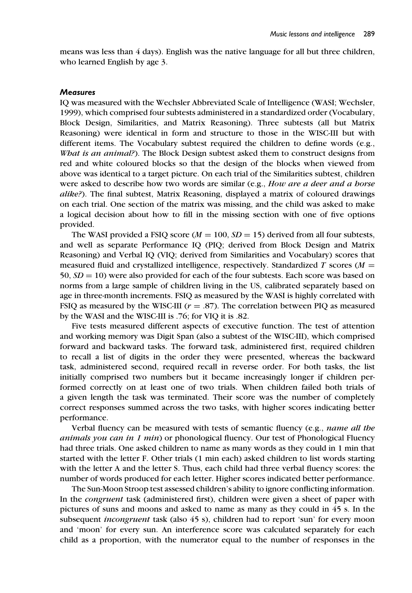means was less than 4 days). English was the native language for all but three children, who learned English by age 3.

#### *Measures*

IQ was measured with the Wechsler Abbreviated Scale of Intelligence (WASI; Wechsler, 1999), which comprised four subtests administered in a standardized order (Vocabulary, Block Design, Similarities, and Matrix Reasoning). Three subtests (all but Matrix Reasoning) were identical in form and structure to those in the WISC-III but with different items. The Vocabulary subtest required the children to define words (e.g., *What is an animal?*). The Block Design subtest asked them to construct designs from red and white coloured blocks so that the design of the blocks when viewed from above was identical to a target picture. On each trial of the Similarities subtest, children were asked to describe how two words are similar (e.g., *How are a deer and a horse alike?*). The final subtest, Matrix Reasoning, displayed a matrix of coloured drawings on each trial. One section of the matrix was missing, and the child was asked to make a logical decision about how to fill in the missing section with one of five options provided.

The WASI provided a FSIQ score ( $M = 100$ ,  $SD = 15$ ) derived from all four subtests, and well as separate Performance IQ (PIQ; derived from Block Design and Matrix Reasoning) and Verbal IQ (VIQ; derived from Similarities and Vocabulary) scores that measured fluid and crystallized intelligence, respectively. Standardized *T* scores ( $M =$ 50,  $SD = 10$ ) were also provided for each of the four subtests. Each score was based on norms from a large sample of children living in the US, calibrated separately based on age in three-month increments. FSIQ as measured by the WASI is highly correlated with FSIQ as measured by the WISC-III (*r* = .87). The correlation between PIQ as measured by the WASI and the WISC-III is .76; for VIQ it is .82.

Five tests measured different aspects of executive function. The test of attention and working memory was Digit Span (also a subtest of the WISC-III), which comprised forward and backward tasks. The forward task, administered first, required children to recall a list of digits in the order they were presented, whereas the backward task, administered second, required recall in reverse order. For both tasks, the list initially comprised two numbers but it became increasingly longer if children performed correctly on at least one of two trials. When children failed both trials of a given length the task was terminated. Their score was the number of completely correct responses summed across the two tasks, with higher scores indicating better performance.

Verbal fluency can be measured with tests of semantic fluency (e.g., *name all the animals you can in 1 min*) or phonological fluency. Our test of Phonological Fluency had three trials. One asked children to name as many words as they could in 1 min that started with the letter F. Other trials (1 min each) asked children to list words starting with the letter A and the letter S. Thus, each child had three verbal fluency scores: the number of words produced for each letter. Higher scores indicated better performance.

The Sun-Moon Stroop test assessed children's ability to ignore conflicting information. In the *congruent* task (administered first), children were given a sheet of paper with pictures of suns and moons and asked to name as many as they could in 45 s. In the subsequent *incongruent* task (also 45 s), children had to report 'sun' for every moon and 'moon' for every sun. An interference score was calculated separately for each child as a proportion, with the numerator equal to the number of responses in the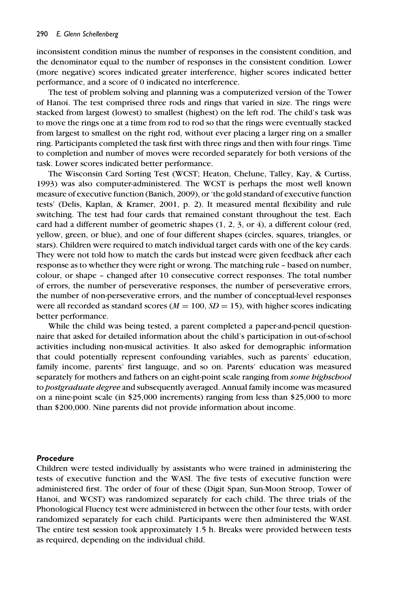inconsistent condition minus the number of responses in the consistent condition, and the denominator equal to the number of responses in the consistent condition. Lower (more negative) scores indicated greater interference, higher scores indicated better performance, and a score of 0 indicated no interference.

The test of problem solving and planning was a computerized version of the Tower of Hanoi. The test comprised three rods and rings that varied in size. The rings were stacked from largest (lowest) to smallest (highest) on the left rod. The child's task was to move the rings one at a time from rod to rod so that the rings were eventually stacked from largest to smallest on the right rod, without ever placing a larger ring on a smaller ring. Participants completed the task first with three rings and then with four rings. Time to completion and number of moves were recorded separately for both versions of the task. Lower scores indicated better performance.

The Wisconsin Card Sorting Test (WCST; Heaton, Chelune, Talley, Kay, & Curtiss, 1993) was also computer-administered. The WCST is perhaps the most well known measure of executive function (Banich, 2009), or 'the gold standard of executive function tests' (Delis, Kaplan, & Kramer, 2001, p. 2). It measured mental flexibility and rule switching. The test had four cards that remained constant throughout the test. Each card had a different number of geometric shapes (1, 2, 3, or 4), a different colour (red, yellow, green, or blue), and one of four different shapes (circles, squares, triangles, or stars). Children were required to match individual target cards with one of the key cards. They were not told how to match the cards but instead were given feedback after each response as to whether they were right or wrong. The matching rule – based on number, colour, or shape – changed after 10 consecutive correct responses. The total number of errors, the number of perseverative responses, the number of perseverative errors, the number of non-perseverative errors, and the number of conceptual-level responses were all recorded as standard scores  $(M = 100, SD = 15)$ , with higher scores indicating better performance.

While the child was being tested, a parent completed a paper-and-pencil questionnaire that asked for detailed information about the child's participation in out-of-school activities including non-musical activities. It also asked for demographic information that could potentially represent confounding variables, such as parents' education, family income, parents' first language, and so on. Parents' education was measured separately for mothers and fathers on an eight-point scale ranging from *some highschool* to *postgraduate degree* and subsequently averaged. Annual family income was measured on a nine-point scale (in \$25,000 increments) ranging from less than \$25,000 to more than \$200,000. Nine parents did not provide information about income.

# *Procedure*

Children were tested individually by assistants who were trained in administering the tests of executive function and the WASI. The five tests of executive function were administered first. The order of four of these (Digit Span, Sun-Moon Stroop, Tower of Hanoi, and WCST) was randomized separately for each child. The three trials of the Phonological Fluency test were administered in between the other four tests, with order randomized separately for each child. Participants were then administered the WASI. The entire test session took approximately 1.5 h. Breaks were provided between tests as required, depending on the individual child.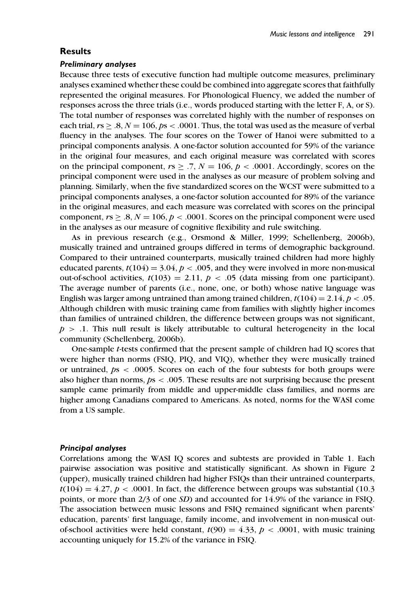# **Results**

### *Preliminary analyses*

Because three tests of executive function had multiple outcome measures, preliminary analyses examined whether these could be combined into aggregate scores that faithfully represented the original measures. For Phonological Fluency, we added the number of responses across the three trials (i.e., words produced starting with the letter F, A, or S). The total number of responses was correlated highly with the number of responses on each trial,  $rs \geq 0.8$ ,  $N = 106$ ,  $ps < 0.0001$ . Thus, the total was used as the measure of verbal fluency in the analyses. The four scores on the Tower of Hanoi were submitted to a principal components analysis. A one-factor solution accounted for 59% of the variance in the original four measures, and each original measure was correlated with scores on the principal component,  $rs \geq 0.7$ ,  $N = 106$ ,  $p < 0.0001$ . Accordingly, scores on the principal component were used in the analyses as our measure of problem solving and planning. Similarly, when the five standardized scores on the WCST were submitted to a principal components analyses, a one-factor solution accounted for 89% of the variance in the original measures, and each measure was correlated with scores on the principal component,  $rs \geq 0.8$ ,  $N = 106$ ,  $p < 0.0001$ . Scores on the principal component were used in the analyses as our measure of cognitive flexibility and rule switching.

As in previous research (e.g., Orsmond & Miller, 1999; Schellenberg, 2006b), musically trained and untrained groups differed in terms of demographic background. Compared to their untrained counterparts, musically trained children had more highly educated parents,  $t(104) = 3.04$ ,  $p < .005$ , and they were involved in more non-musical out-of-school activities,  $t(103) = 2.11$ ,  $p < .05$  (data missing from one participant). The average number of parents (i.e., none, one, or both) whose native language was English was larger among untrained than among trained children,  $t(104) = 2.14$ ,  $p < .05$ . Although children with music training came from families with slightly higher incomes than families of untrained children, the difference between groups was not significant,  $p > 0.1$ . This null result is likely attributable to cultural heterogeneity in the local community (Schellenberg, 2006b).

One-sample *t*-tests confirmed that the present sample of children had IQ scores that were higher than norms (FSIQ, PIQ, and VIQ), whether they were musically trained or untrained, *p*s < .0005. Scores on each of the four subtests for both groups were also higher than norms, *p*s < .005. These results are not surprising because the present sample came primarily from middle and upper-middle class families, and norms are higher among Canadians compared to Americans. As noted, norms for the WASI come from a US sample.

#### *Principal analyses*

Correlations among the WASI IQ scores and subtests are provided in Table 1. Each pairwise association was positive and statistically significant. As shown in Figure 2 (upper), musically trained children had higher FSIQs than their untrained counterparts,  $t(104) = 4.27$ ,  $p < .0001$ . In fact, the difference between groups was substantial (10.3) points, or more than 2/3 of one *SD*) and accounted for 14.9% of the variance in FSIQ. The association between music lessons and FSIQ remained significant when parents' education, parents' first language, family income, and involvement in non-musical outof-school activities were held constant,  $t(90) = 4.33$ ,  $p < .0001$ , with music training accounting uniquely for 15.2% of the variance in FSIQ.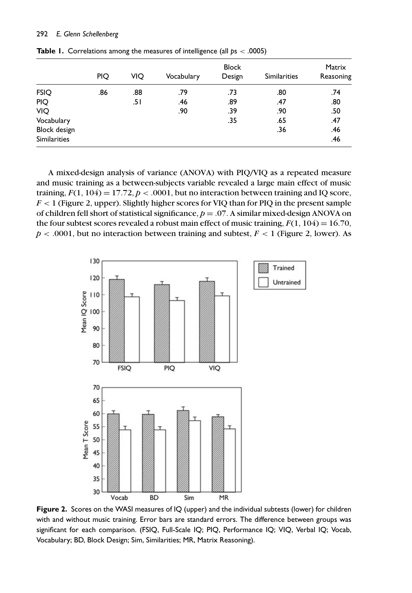|              | PIQ | VIO | Vocabulary | <b>Block</b><br>Design | <b>Similarities</b> | Matrix<br>Reasoning |
|--------------|-----|-----|------------|------------------------|---------------------|---------------------|
|              |     |     |            |                        |                     |                     |
| <b>FSIQ</b>  | .86 | .88 | .79        | .73                    | .80                 | .74                 |
| PIQ          |     | 5۱. | .46        | .89                    | .47                 | .80                 |
| <b>VIQ</b>   |     |     | .90        | .39                    | .90                 | .50                 |
| Vocabulary   |     |     |            | .35                    | .65                 | .47                 |
| Block design |     |     |            |                        | .36                 | .46                 |
| Similarities |     |     |            |                        |                     | .46                 |

**Table 1.** Correlations among the measures of intelligence (all *p*s < .0005)

A mixed-design analysis of variance (ANOVA) with PIQ/VIQ as a repeated measure and music training as a between-subjects variable revealed a large main effect of music training,  $F(1, 104) = 17.72$ ,  $p < .0001$ , but no interaction between training and IQ score, *F* < 1 (Figure 2, upper). Slightly higher scores for VIQ than for PIQ in the present sample of children fell short of statistical significance, *p* = .07. A similar mixed-design ANOVA on the four subtest scores revealed a robust main effect of music training, *F*(1, 104) = 16.70, *p* < .0001, but no interaction between training and subtest, *F* < 1 (Figure 2, lower). As



**Figure 2.** Scores on the WASI measures of IQ (upper) and the individual subtests (lower) for children with and without music training. Error bars are standard errors. The difference between groups was significant for each comparison. (FSIQ, Full-Scale IQ; PIQ, Performance IQ; VIQ, Verbal IQ; Vocab, Vocabulary; BD, Block Design; Sim, Similarities; MR, Matrix Reasoning).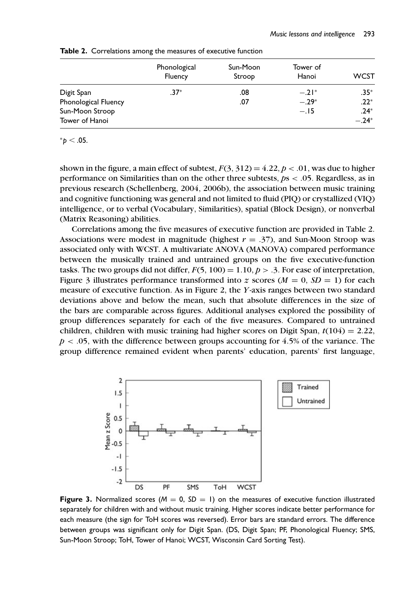|                                   | Phonological<br>Fluency | Sun-Moon<br>Stroop | Tower of<br>Hanoi | WCST              |
|-----------------------------------|-------------------------|--------------------|-------------------|-------------------|
| Digit Span                        | $.37*$                  | .08                | $-.21*$           | $.35^*$           |
| Phonological Fluency              |                         | .07                | $-.29*$           | $.22*$            |
| Sun-Moon Stroop<br>Tower of Hanoi |                         |                    | $-.15$            | $.24*$<br>$-.24*$ |

**Table 2.** Correlations among the measures of executive function

<sup>∗</sup>*p* - .05.

shown in the figure, a main effect of subtest,  $F(3, 312) = 4.22$ ,  $p < .01$ , was due to higher performance on Similarities than on the other three subtests, *p*s < .05. Regardless, as in previous research (Schellenberg, 2004, 2006b), the association between music training and cognitive functioning was general and not limited to fluid (PIQ) or crystallized (VIQ) intelligence, or to verbal (Vocabulary, Similarities), spatial (Block Design), or nonverbal (Matrix Reasoning) abilities.

Correlations among the five measures of executive function are provided in Table 2. Associations were modest in magnitude (highest  $r = .37$ ), and Sun-Moon Stroop was associated only with WCST. A multivariate ANOVA (MANOVA) compared performance between the musically trained and untrained groups on the five executive-function tasks. The two groups did not differ,  $F(5, 100) = 1.10, p > .3$ . For ease of interpretation, Figure 3 illustrates performance transformed into *z* scores ( $M = 0$ ,  $SD = 1$ ) for each measure of executive function. As in Figure 2, the *Y*-axis ranges between two standard deviations above and below the mean, such that absolute differences in the size of the bars are comparable across figures. Additional analyses explored the possibility of group differences separately for each of the five measures. Compared to untrained children, children with music training had higher scores on Digit Span,  $t(104) = 2.22$ ,  $p < .05$ , with the difference between groups accounting for 4.5% of the variance. The group difference remained evident when parents' education, parents' first language,



**Figure 3.** Normalized scores ( $M = 0$ ,  $SD = 1$ ) on the measures of executive function illustrated separately for children with and without music training. Higher scores indicate better performance for each measure (the sign for ToH scores was reversed). Error bars are standard errors. The difference between groups was significant only for Digit Span. (DS, Digit Span; PF, Phonological Fluency; SMS, Sun-Moon Stroop; ToH, Tower of Hanoi; WCST, Wisconsin Card Sorting Test).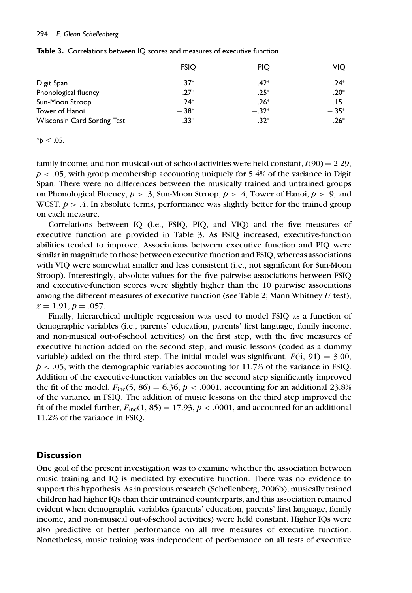#### 294 *E. Glenn Schellenberg*

|                                    | <b>FSIO</b> | <b>PIO</b> | VIO     |
|------------------------------------|-------------|------------|---------|
| Digit Span                         | $.37*$      | $.42*$     | $.24*$  |
| Phonological fluency               | $.27*$      | $.25*$     | $.20*$  |
| Sun-Moon Stroop                    | $.24*$      | $.26*$     | 15.     |
| Tower of Hanoi                     | $-.38*$     | $-.32*$    | $-.35*$ |
| <b>Wisconsin Card Sorting Test</b> | $.33*$      | $.32*$     | $.26*$  |

**Table 3.** Correlations between IQ scores and measures of executive function

<sup>∗</sup>*p* - .05.

family income, and non-musical out-of-school activities were held constant,  $t(90) = 2.29$ ,  $p < .05$ , with group membership accounting uniquely for 5.4% of the variance in Digit Span. There were no differences between the musically trained and untrained groups on Phonological Fluency, *p* > .3, Sun-Moon Stroop, *p* > .4, Tower of Hanoi, *p* > .9, and WCST,  $p > 0.4$ . In absolute terms, performance was slightly better for the trained group on each measure.

Correlations between IQ (i.e., FSIQ, PIQ, and VIQ) and the five measures of executive function are provided in Table 3. As FSIQ increased, executive-function abilities tended to improve. Associations between executive function and PIQ were similar in magnitude to those between executive function and FSIQ, whereas associations with VIQ were somewhat smaller and less consistent (i.e., not significant for Sun-Moon Stroop). Interestingly, absolute values for the five pairwise associations between FSIQ and executive-function scores were slightly higher than the 10 pairwise associations among the different measures of executive function (see Table 2; Mann-Whitney *U* test),  $z = 1.91, p = .057.$ 

Finally, hierarchical multiple regression was used to model FSIQ as a function of demographic variables (i.e., parents' education, parents' first language, family income, and non-musical out-of-school activities) on the first step, with the five measures of executive function added on the second step, and music lessons (coded as a dummy variable) added on the third step. The initial model was significant,  $F(4, 91) = 3.00$ ,  $p < .05$ , with the demographic variables accounting for 11.7% of the variance in FSIQ. Addition of the executive-function variables on the second step significantly improved the fit of the model,  $F_{\text{inc}}(5, 86) = 6.36$ ,  $p < .0001$ , accounting for an additional 23.8% of the variance in FSIQ. The addition of music lessons on the third step improved the fit of the model further,  $F_{inc}(1, 85) = 17.93$ ,  $p < .0001$ , and accounted for an additional 11.2% of the variance in FSIQ.

# **Discussion**

One goal of the present investigation was to examine whether the association between music training and IQ is mediated by executive function. There was no evidence to support this hypothesis. As in previous research (Schellenberg, 2006b), musically trained children had higher IQs than their untrained counterparts, and this association remained evident when demographic variables (parents' education, parents' first language, family income, and non-musical out-of-school activities) were held constant. Higher IQs were also predictive of better performance on all five measures of executive function. Nonetheless, music training was independent of performance on all tests of executive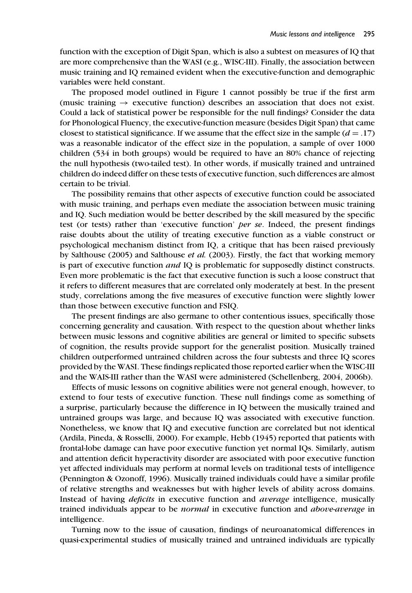function with the exception of Digit Span, which is also a subtest on measures of IQ that are more comprehensive than the WASI (e.g., WISC-III). Finally, the association between music training and IQ remained evident when the executive-function and demographic variables were held constant.

The proposed model outlined in Figure 1 cannot possibly be true if the first arm (music training  $\rightarrow$  executive function) describes an association that does not exist. Could a lack of statistical power be responsible for the null findings? Consider the data for Phonological Fluency, the executive-function measure (besides Digit Span) that came closest to statistical significance. If we assume that the effect size in the sample  $(d = .17)$ was a reasonable indicator of the effect size in the population, a sample of over 1000 children (534 in both groups) would be required to have an 80% chance of rejecting the null hypothesis (two-tailed test). In other words, if musically trained and untrained children do indeed differ on these tests of executive function, such differences are almost certain to be trivial.

The possibility remains that other aspects of executive function could be associated with music training, and perhaps even mediate the association between music training and IQ. Such mediation would be better described by the skill measured by the specific test (or tests) rather than 'executive function' *per se*. Indeed, the present findings raise doubts about the utility of treating executive function as a viable construct or psychological mechanism distinct from IQ, a critique that has been raised previously by Salthouse (2005) and Salthouse *et al.* (2003). Firstly, the fact that working memory is part of executive function *and* IQ is problematic for supposedly distinct constructs. Even more problematic is the fact that executive function is such a loose construct that it refers to different measures that are correlated only moderately at best. In the present study, correlations among the five measures of executive function were slightly lower than those between executive function and FSIQ.

The present findings are also germane to other contentious issues, specifically those concerning generality and causation. With respect to the question about whether links between music lessons and cognitive abilities are general or limited to specific subsets of cognition, the results provide support for the generalist position. Musically trained children outperformed untrained children across the four subtests and three IQ scores provided by the WASI. These findings replicated those reported earlier when the WISC-III and the WAIS-III rather than the WASI were administered (Schellenberg, 2004, 2006b).

Effects of music lessons on cognitive abilities were not general enough, however, to extend to four tests of executive function. These null findings come as something of a surprise, particularly because the difference in IQ between the musically trained and untrained groups was large, and because IQ was associated with executive function. Nonetheless, we know that IQ and executive function are correlated but not identical (Ardila, Pineda, & Rosselli, 2000). For example, Hebb (1945) reported that patients with frontal-lobe damage can have poor executive function yet normal IQs. Similarly, autism and attention deficit hyperactivity disorder are associated with poor executive function yet affected individuals may perform at normal levels on traditional tests of intelligence (Pennington & Ozonoff, 1996). Musically trained individuals could have a similar profile of relative strengths and weaknesses but with higher levels of ability across domains. Instead of having *deficits* in executive function and *average* intelligence, musically trained individuals appear to be *normal* in executive function and *above-average* in intelligence.

Turning now to the issue of causation, findings of neuroanatomical differences in quasi-experimental studies of musically trained and untrained individuals are typically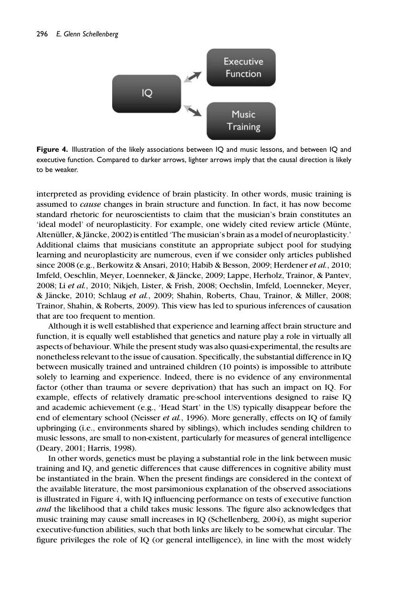

**Figure 4.** Illustration of the likely associations between IQ and music lessons, and between IQ and executive function. Compared to darker arrows, lighter arrows imply that the causal direction is likely to be weaker.

interpreted as providing evidence of brain plasticity. In other words, music training is assumed to *cause* changes in brain structure and function. In fact, it has now become standard rhetoric for neuroscientists to claim that the musician's brain constitutes an 'ideal model' of neuroplasticity. For example, one widely cited review article (Munte, ¨ Altenüller, & Jäncke, 2002) is entitled 'The musician's brain as a model of neuroplasticity.' Additional claims that musicians constitute an appropriate subject pool for studying learning and neuroplasticity are numerous, even if we consider only articles published since 2008 (e.g., Berkowitz & Ansari, 2010; Habib & Besson, 2009; Herdener *et al.*, 2010; Imfeld, Oeschlin, Meyer, Loenneker, & Jäncke, 2009; Lappe, Herholz, Trainor, & Pantev, 2008; Li *et al.*, 2010; Nikjeh, Lister, & Frish, 2008; Oechslin, Imfeld, Loenneker, Meyer, & J¨ancke, 2010; Schlaug *et al.*, 2009; Shahin, Roberts, Chau, Trainor, & Miller, 2008; Trainor, Shahin, & Roberts, 2009). This view has led to spurious inferences of causation that are too frequent to mention.

Although it is well established that experience and learning affect brain structure and function, it is equally well established that genetics and nature play a role in virtually all aspects of behaviour. While the present study was also quasi-experimental, the results are nonetheless relevant to the issue of causation. Specifically, the substantial difference in IQ between musically trained and untrained children (10 points) is impossible to attribute solely to learning and experience. Indeed, there is no evidence of any environmental factor (other than trauma or severe deprivation) that has such an impact on IQ. For example, effects of relatively dramatic pre-school interventions designed to raise IQ and academic achievement (e.g., 'Head Start' in the US) typically disappear before the end of elementary school (Neisser *et al.*, 1996). More generally, effects on IQ of family upbringing (i.e., environments shared by siblings), which includes sending children to music lessons, are small to non-existent, particularly for measures of general intelligence (Deary, 2001; Harris, 1998).

In other words, genetics must be playing a substantial role in the link between music training and IQ, and genetic differences that cause differences in cognitive ability must be instantiated in the brain. When the present findings are considered in the context of the available literature, the most parsimonious explanation of the observed associations is illustrated in Figure 4, with IQ influencing performance on tests of executive function *and* the likelihood that a child takes music lessons. The figure also acknowledges that music training may cause small increases in IQ (Schellenberg, 2004), as might superior executive-function abilities, such that both links are likely to be somewhat circular. The figure privileges the role of IQ (or general intelligence), in line with the most widely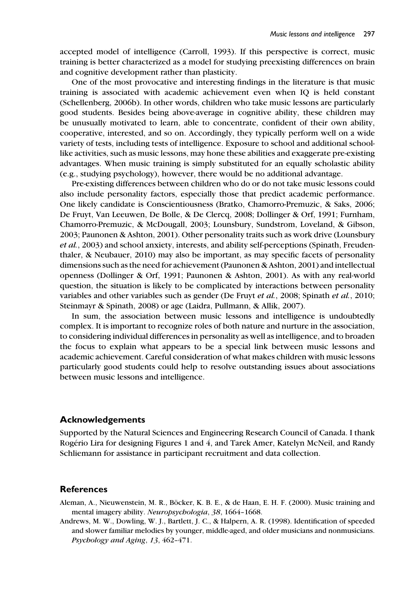accepted model of intelligence (Carroll, 1993). If this perspective is correct, music training is better characterized as a model for studying preexisting differences on brain and cognitive development rather than plasticity.

One of the most provocative and interesting findings in the literature is that music training is associated with academic achievement even when IQ is held constant (Schellenberg, 2006b). In other words, children who take music lessons are particularly good students. Besides being above-average in cognitive ability, these children may be unusually motivated to learn, able to concentrate, confident of their own ability, cooperative, interested, and so on. Accordingly, they typically perform well on a wide variety of tests, including tests of intelligence. Exposure to school and additional schoollike activities, such as music lessons, may hone these abilities and exaggerate pre-existing advantages. When music training is simply substituted for an equally scholastic ability (e.g., studying psychology), however, there would be no additional advantage.

Pre-existing differences between children who do or do not take music lessons could also include personality factors, especially those that predict academic performance. One likely candidate is Conscientiousness (Bratko, Chamorro-Premuzic, & Saks, 2006; De Fruyt, Van Leeuwen, De Bolle, & De Clercq, 2008; Dollinger & Orf, 1991; Furnham, Chamorro-Premuzic, & McDougall, 2003; Lounsbury, Sundstrom, Loveland, & Gibson, 2003; Paunonen & Ashton, 2001). Other personality traits such as work drive (Lounsbury *et al.*, 2003) and school anxiety, interests, and ability self-perceptions (Spinath, Freudenthaler, & Neubauer, 2010) may also be important, as may specific facets of personality dimensions such as the need for achievement (Paunonen & Ashton, 2001) and intellectual openness (Dollinger & Orf, 1991; Paunonen & Ashton, 2001). As with any real-world question, the situation is likely to be complicated by interactions between personality variables and other variables such as gender (De Fruyt *et al.*, 2008; Spinath *et al.*, 2010; Steinmayr & Spinath, 2008) or age (Laidra, Pullmann, & Allik, 2007).

In sum, the association between music lessons and intelligence is undoubtedly complex. It is important to recognize roles of both nature and nurture in the association, to considering individual differences in personality as well as intelligence, and to broaden the focus to explain what appears to be a special link between music lessons and academic achievement. Careful consideration of what makes children with music lessons particularly good students could help to resolve outstanding issues about associations between music lessons and intelligence.

# **Acknowledgements**

Supported by the Natural Sciences and Engineering Research Council of Canada. I thank Rogério Lira for designing Figures 1 and 4, and Tarek Amer, Katelyn McNeil, and Randy Schliemann for assistance in participant recruitment and data collection.

# **References**

Aleman, A., Nieuwenstein, M. R., Böcker, K. B. E., & de Haan, E. H. F. (2000). Music training and mental imagery ability. *Neuropsychologia*, *38*, 1664–1668.

Andrews, M. W., Dowling, W. J., Bartlett, J. C., & Halpern, A. R. (1998). Identification of speeded and slower familiar melodies by younger, middle-aged, and older musicians and nonmusicians. *Psychology and Aging*, *13*, 462–471.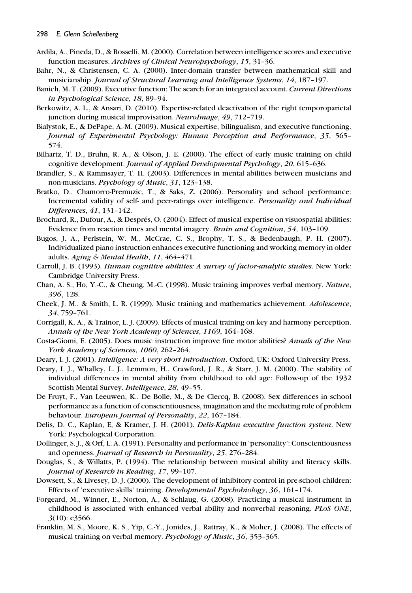- Ardila, A., Pineda, D., & Rosselli, M. (2000). Correlation between intelligence scores and executive function measures. *Archives of Clinical Neuropsychology*, *15*, 31–36.
- Bahr, N., & Christensen, C. A. (2000). Inter-domain transfer between mathematical skill and musicianship. *Journal of Structural Learning and Intelligence Systems*, *14*, 187–197.
- Banich, M. T. (2009). Executive function: The search for an integrated account. *Current Directions in Psychological Science*, *18*, 89–94.
- Berkowitz, A. L., & Ansari, D. (2010). Expertise-related deactivation of the right temporoparietal junction during musical improvisation. *NeuroImage*, *49*, 712–719.
- Bialystok, E., & DePape, A.-M. (2009). Musical expertise, bilingualism, and executive functioning. *Journal of Experimental Psychology: Human Perception and Performance*, *35*, 565– 574.
- Bilhartz, T. D., Bruhn, R. A., & Olson, J. E. (2000). The effect of early music training on child cognitive development. *Journal of Applied Developmental Psychology*, *20*, 615–636.
- Brandler, S., & Rammsayer, T. H. (2003). Differences in mental abilities between musicians and non-musicians. *Psychology of Music*, *31*, 123–138.
- Bratko, D., Chamorro-Premuzic, T., & Saks, Z. (2006). Personality and school performance: Incremental validity of self- and peer-ratings over intelligence. *Personality and Individual Differences*, *41*, 131–142.
- Brochard, R., Dufour, A., & Després, O. (2004). Effect of musical expertise on visuospatial abilities: Evidence from reaction times and mental imagery. *Brain and Cognition*, *54*, 103–109.
- Bugos, J. A., Perlstein, W. M., McCrae, C. S., Brophy, T. S., & Bedenbaugh, P. H. (2007). Individualized piano instruction enhances executive functioning and working memory in older adults. *Aging & Mental Health*, *11*, 464–471.
- Carroll, J. B. (1993). *Human cognitive abilities: A survey of factor-analytic studies*. New York: Cambridge University Press.
- Chan, A. S., Ho, Y.-C., & Cheung, M.-C. (1998). Music training improves verbal memory. *Nature*, *396*, 128.
- Cheek, J. M., & Smith, L. R. (1999). Music training and mathematics achievement. *Adolescence*, *34*, 759–761.
- Corrigall, K. A., & Trainor, L. J. (2009). Effects of musical training on key and harmony perception. *Annals of the New York Academy of Sciences*, *1169*, 164–168.
- Costa-Giomi, E. (2005). Does music instruction improve fine motor abilities? *Annals of the New York Academy of Sciences*, *1060*, 262–264.
- Deary, I. J. (2001). *Intelligence: A very short introduction*. Oxford, UK: Oxford University Press.
- Deary, I. J., Whalley, L. J., Lemmon, H., Crawford, J. R., & Starr, J. M. (2000). The stability of individual differences in mental ability from childhood to old age: Follow-up of the 1932 Scottish Mental Survey. *Intelligence*, *28*, 49–55.
- De Fruyt, F., Van Leeuwen, K., De Bolle, M., & De Clercq, B. (2008). Sex differences in school performance as a function of conscientiousness, imagination and the mediating role of problem behaviour. *European Journal of Personality*, *22*, 167–184.
- Delis, D. C., Kaplan, E, & Kramer, J. H. (2001). *Delis-Kaplan executive function system*. New York: Psychological Corporation.
- Dollinger, S. J., & Orf, L. A. (1991). Personality and performance in 'personality': Conscientiousness and openness. *Journal of Research in Personality*, *25*, 276–284.
- Douglas, S., & Willatts, P. (1994). The relationship between musical ability and literacy skills. *Journal of Research in Reading*, *17*, 99–107.
- Dowsett, S., & Livesey, D. J. (2000). The development of inhibitory control in pre-school children: Effects of 'executive skills' training. *Developmental Psychobiology*, *36*, 161–174.
- Forgeard, M., Winner, E., Norton, A., & Schlaug, G. (2008). Practicing a musical instrument in childhood is associated with enhanced verbal ability and nonverbal reasoning. *PLoS ONE*, *3*(10): e3566.
- Franklin, M. S., Moore, K. S., Yip, C.-Y., Jonides, J., Rattray, K., & Moher, J. (2008). The effects of musical training on verbal memory. *Psychology of Music*, *36*, 353–365.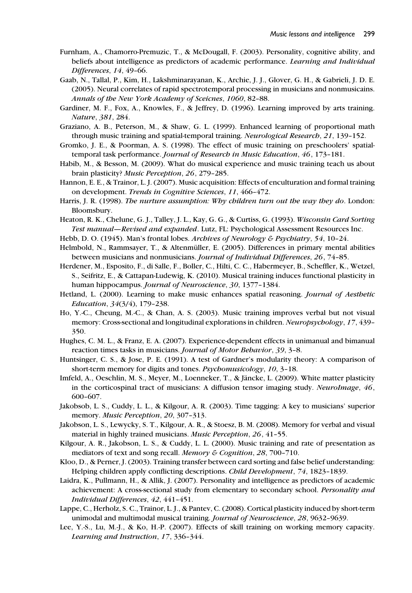- Furnham, A., Chamorro-Premuzic, T., & McDougall, F. (2003). Personality, cognitive ability, and beliefs about intelligence as predictors of academic performance. *Learning and Individual Differences*, *14*, 49–66.
- Gaab, N., Tallal, P., Kim, H., Lakshminarayanan, K., Archie, J. J., Glover, G. H., & Gabrieli, J. D. E. (2005). Neural correlates of rapid spectrotemporal processing in musicians and nonmusicains. *Annals of the New York Academy of Sceicnes*, *1060*, 82–88.
- Gardiner, M. F., Fox, A., Knowles, F., & Jeffrey, D. (1996). Learning improved by arts training. *Nature*, *381*, 284.
- Graziano, A. B., Peterson, M., & Shaw, G. L. (1999). Enhanced learning of proportional math through music training and spatial-temporal training. *Neurological Research*, *21*, 139–152.
- Gromko, J. E., & Poorman, A. S. (1998). The effect of music training on preschoolers' spatialtemporal task performance. *Journal of Research in Music Education*, *46*, 173–181.
- Habib, M., & Besson, M. (2009). What do musical experience and music training teach us about brain plasticity? *Music Perception*, *26*, 279–285.
- Hannon, E. E., & Trainor, L. J. (2007). Music acquisition: Effects of enculturation and formal training on development. *Trends in Cognitive Sciences*, *11*, 466–472.
- Harris, J. R. (1998). *The nurture assumption: Why children turn out the way they do*. London: Bloomsbury.
- Heaton, R. K., Chelune, G. J., Talley, J. L., Kay, G. G., & Curtiss, G. (1993). *Wisconsin Card Sorting Test manual—Revised and expanded*. Lutz, FL: Psychological Assessment Resources Inc.
- Hebb, D. O. (1945). Man's frontal lobes. *Archives of Neurology & Psychiatry*, *54*, 10–24.
- Helmbold, N., Rammsayer, T., & Altenmüller, E. (2005). Differences in primary mental abilities between musicians and nonmusicians. *Journal of Individual Differences*, *26*, 74–85.
- Herdener, M., Esposito, F., di Salle, F., Boller, C., Hilti, C. C., Habermeyer, B., Scheffler, K., Wetzel, S., Seifritz, E., & Cattapan-Ludewig, K. (2010). Musical training induces functional plasticity in human hippocampus. *Journal of Neuroscience*, *30*, 1377–1384.
- Hetland, L. (2000). Learning to make music enhances spatial reasoning. *Journal of Aesthetic Education*, *34*(3/4), 179–238.
- Ho, Y.-C., Cheung, M.-C., & Chan, A. S. (2003). Music training improves verbal but not visual memory: Cross-sectional and longitudinal explorations in children. *Neuropsychology*, *17*, 439– 350.
- Hughes, C. M. L., & Franz, E. A. (2007). Experience-dependent effects in unimanual and bimanual reaction times tasks in musicians. *Journal of Motor Behavior*, *39*, 3–8.
- Huntsinger, C. S., & Jose, P. E. (1991). A test of Gardner's modularity theory: A comparison of short-term memory for digits and tones. *Psychomusicology*, *10*, 3–18.
- Imfeld, A., Oeschlin, M. S., Meyer, M., Loenneker, T., & Jäncke, L. (2009). White matter plasticity in the corticospinal tract of musicians: A diffusion tensor imaging study. *NeuroImage*, *46*, 600–607.
- Jakobsob, L. S., Cuddy, L. L., & Kilgour, A. R. (2003). Time tagging: A key to musicians' superior memory. *Music Perception*, *20*, 307–313.
- Jakobson, L. S., Lewycky, S. T., Kilgour, A. R., & Stoesz, B. M. (2008). Memory for verbal and visual material in highly trained musicians. *Music Perception*, *26*, 41–55.
- Kilgour, A. R., Jakobson, L. S., & Cuddy, L. L. (2000). Music training and rate of presentation as mediators of text and song recall. *Memory & Cognition*, *28*, 700–710.
- Kloo, D., & Perner, J. (2003). Training transfer between card sorting and false belief understanding: Helping children apply conflicting descriptions. *Child Development*, *74*, 1823–1839.
- Laidra, K., Pullmann, H., & Allik, J. (2007). Personality and intelligence as predictors of academic achievement: A cross-sectional study from elementary to secondary school. *Personality and Individual Differences*, *42*, 441–451.
- Lappe, C., Herholz, S. C., Trainor, L. J., & Pantev, C. (2008). Cortical plasticity induced by short-term unimodal and multimodal musical training. *Journal of Neuroscience*, *28*, 9632–9639.
- Lee, Y.-S., Lu, M.-J., & Ko, H.-P. (2007). Effects of skill training on working memory capacity. *Learning and Instruction*, *17*, 336–344.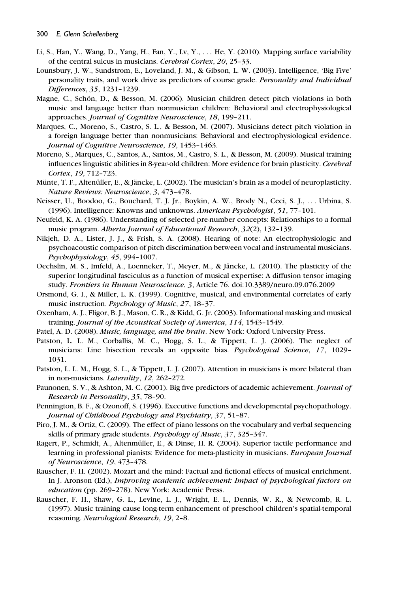- Li, S., Han, Y., Wang, D., Yang, H., Fan, Y., Lv, Y., . . . He, Y. (2010). Mapping surface variability of the central sulcus in musicians. *Cerebral Cortex*, *20*, 25–33.
- Lounsbury, J. W., Sundstrom, E., Loveland, J. M., & Gibson, L. W. (2003). Intelligence, 'Big Five' personality traits, and work drive as predictors of course grade. *Personality and Individual Differences*, *35*, 1231–1239.
- Magne, C., Schön, D., & Besson, M. (2006). Musician children detect pitch violations in both music and language better than nonmusician children: Behavioral and electrophysiological approaches. *Journal of Cognitive Neuroscience*, *18*, 199–211.
- Marques, C., Moreno, S., Castro, S. L., & Besson, M. (2007). Musicians detect pitch violation in a foreign language better than nonmusicians: Behavioral and electrophysiological evidence. *Journal of Cognitive Neuroscience*, *19*, 1453–1463.
- Moreno, S., Marques, C., Santos, A., Santos, M., Castro, S. L., & Besson, M. (2009). Musical training influences linguistic abilities in 8-year-old children: More evidence for brain plasticity. *Cerebral Cortex*, *19*, 712–723.
- Münte, T. F., Altenüller, E., & Jäncke, L. (2002). The musician's brain as a model of neuroplasticity. *Nature Reviews: Neuroscience*, *3*, 473–478.
- Neisser, U., Boodoo, G., Bouchard, T. J. Jr., Boykin, A. W., Brody N., Ceci, S. J., . . . Urbina, S. (1996). Intelligence: Knowns and unknowns. *American Psychologist*, *51*, 77–101.
- Neufeld, K. A. (1986). Understanding of selected pre-number concepts: Relationships to a formal music program. *Alberta Journal of Educational Research*, *32*(2), 132–139.
- Nikjeh, D. A., Lister, J. J., & Frish, S. A. (2008). Hearing of note: An electrophysiologic and psychoacoustic comparison of pitch discrimination between vocal and instrumental musicians. *Psychophysiology*, *45*, 994–1007.
- Oechslin, M. S., Imfeld, A., Loenneker, T., Meyer, M., & Jäncke, L. (2010). The plasticity of the superior longitudinal fasciculus as a function of musical expertise: A diffusion tensor imaging study. *Frontiers in Human Neuroscience*, *3*, Article 76. doi:10.3389/neuro.09.076.2009
- Orsmond, G. I., & Miller, L. K. (1999). Cognitive, musical, and environmental correlates of early music instruction. *Psychology of Music*, *27*, 18–37.
- Oxenham, A. J., Fligor, B. J., Mason, C. R., & Kidd, G. Jr. (2003). Informational masking and musical training. *Journal of the Acoustical Society of America*, *114*, 1543–1549.
- Patel, A. D. (2008). *Music, language, and the brain*. New York: Oxford University Press.
- Patston, L. L. M., Corballis, M. C., Hogg, S. L., & Tippett, L. J. (2006). The neglect of musicians: Line bisection reveals an opposite bias. *Psychological Science*, *17*, 1029– 1031.
- Patston, L. L. M., Hogg, S. L., & Tippett, L. J. (2007). Attention in musicians is more bilateral than in non-musicians. *Laterality*, *12*, 262–272.
- Paunonen, S. V., & Ashton, M. C. (2001). Big five predictors of academic achievement. *Journal of Research in Personality*, *35*, 78–90.
- Pennington, B. F., & Ozonoff, S. (1996). Executive functions and developmental psychopathology. *Journal of Childhood Psychology and Psychiatry*, *37*, 51–87.
- Piro, J. M., & Ortiz, C. (2009). The effect of piano lessons on the vocabulary and verbal sequencing skills of primary grade students. *Psychology of Music*, *37*, 325–347.
- Ragert, P., Schmidt, A., Altenmüller, E., & Dinse, H. R. (2004). Superior tactile performance and learning in professional pianists: Evidence for meta-plasticity in musicians. *European Journal of Neuroscience*, *19*, 473–478.
- Rauscher, F. H. (2002). Mozart and the mind: Factual and fictional effects of musical enrichment. In J. Aronson (Ed.), *Improving academic achievement: Impact of psychological factors on education* (pp. 269–278). New York: Academic Press.
- Rauscher, F. H., Shaw, G. L., Levine, L. J., Wright, E. L., Dennis, W. R., & Newcomb, R. L. (1997). Music training cause long-term enhancement of preschool children's spatial-temporal reasoning. *Neurological Research*, *19*, 2–8.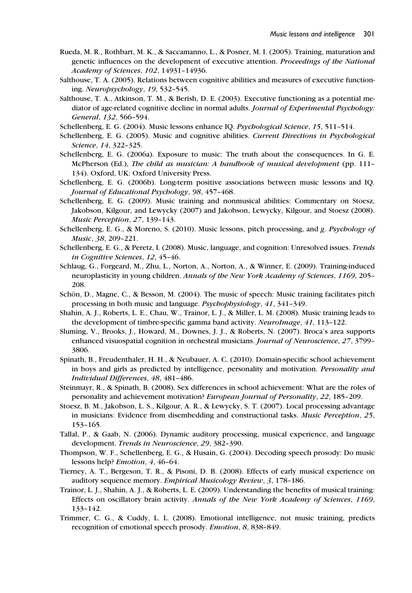- Rueda, M. R., Rothbart, M. K., & Saccamanno, L., & Posner, M. I. (2005). Training, maturation and genetic influences on the development of executive attention. *Proceedings of the National Academy of Sciences*, *102*, 14931–14936.
- Salthouse, T. A. (2005). Relations between cognitive abilities and measures of executive functioning. *Neuropsychology*, *19*, 532–545.
- Salthouse, T. A., Atkinson, T. M., & Berish, D. E. (2003). Executive functioning as a potential mediator of age-related cognitive decline in normal adults. *Journal of Experimental Psychology: General*, *132*, 566–594.
- Schellenberg, E. G. (2004). Music lessons enhance IQ. *Psychological Science*, *15*, 511–514.
- Schellenberg, E. G. (2005). Music and cognitive abilities. *Current Directions in Psychological Science*, *14*, 322–325.
- Schellenberg, E. G. (2006a). Exposure to music: The truth about the consequences. In G. E. McPherson (Ed.), *The child as musician: A handbook of musical development* (pp. 111– 134). Oxford, UK: Oxford University Press.
- Schellenberg, E. G. (2006b). Long-term positive associations between music lessons and IQ. *Journal of Educational Psychology*, *98*, 457–468.
- Schellenberg, E. G. (2009). Music training and nonmusical abilities: Commentary on Stoesz, Jakobson, Kilgour, and Lewycky (2007) and Jakobson, Lewycky, Kilgour, and Stoesz (2008). *Music Perception*, *27*, 139–143.
- Schellenberg, E. G., & Moreno, S. (2010). Music lessons, pitch processing, and *g*. *Psychology of Music*, *38*, 209–221.
- Schellenberg, E. G., & Peretz, I. (2008). Music, language, and cognition: Unresolved issues. *Trends in Cognitive Sciences*, *12*, 45–46.
- Schlaug, G., Forgeard, M., Zhu, L., Norton, A., Norton, A., & Winner, E. (2009). Training-induced neuroplasticity in young children. *Annals of the New York Academy of Sciences*, *1169*, 205– 208.
- Schön, D., Magne, C., & Besson, M.  $(2004)$ . The music of speech: Music training facilitates pitch processing in both music and language. *Psychophysiology*, *41*, 341–349.
- Shahin, A. J., Roberts, L. E., Chau, W., Trainor, L. J., & Miller, L. M. (2008). Music training leads to the development of timbre-specific gamma band activity. *NeuroImage*, *41*, 113–122.
- Sluming, V., Brooks, J., Howard, M., Downes, J. J., & Roberts, N. (2007). Broca's area supports enhanced visuospatial cognition in orchestral musicians. *Journal of Neuroscience*, *27*, 3799– 3806.
- Spinath, B., Freudenthaler, H. H., & Neubauer, A. C. (2010). Domain-specific school achievement in boys and girls as predicted by intelligence, personality and motivation. *Personality and Individual Differences*, *48*, 481–486.
- Steinmayr, R., & Spinath, B. (2008). Sex differences in school achievement: What are the roles of personality and achievement motivation? *European Journal of Personality*, *22*, 185–209.
- Stoesz, B. M., Jakobson, L. S., Kilgour, A. R., & Lewycky, S. T. (2007). Local processing advantage in musicians: Evidence from disembedding and constructional tasks. *Music Perception*, *25*, 153–165.
- Tallal, P., & Gaab, N. (2006). Dynamic auditory processing, musical experience, and language development. *Trends in Neuroscience*, *29*, 382–390.
- Thompson, W. F., Schellenberg, E. G., & Husain, G. (2004). Decoding speech prosody: Do music lessons help? *Emotion*, *4*, 46–64.
- Tierney, A. T., Bergeson, T. R., & Pisoni, D. B. (2008). Effects of early musical experience on auditory sequence memory. *Empirical Musicology Review*, *3*, 178–186.
- Trainor, L. J., Shahin, A. J., & Roberts, L. E. (2009). Understanding the benefits of musical training: Effects on oscillatory brain activity. *Annals of the New York Academy of Sciences*, *1169*, 133–142.
- Trimmer, C. G., & Cuddy, L. L. (2008). Emotional intelligence, not music training, predicts recognition of emotional speech prosody. *Emotion*, *8*, 838–849.